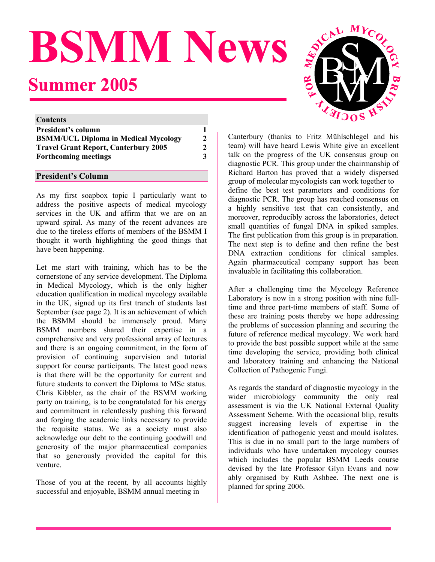# **BSMM News Summer 2005**

| <b>Contents</b>                             |              |
|---------------------------------------------|--------------|
| <b>President's column</b>                   |              |
| <b>BSMM/UCL Diploma in Medical Mycology</b> | $\mathbf{2}$ |
| <b>Travel Grant Report, Canterbury 2005</b> | $\mathbf{2}$ |
| <b>Forthcoming meetings</b>                 | 3            |

As my first soapbox topic I particularly want to address the positive aspects of medical mycology services in the UK and affirm that we are on an upward spiral. As many of the recent advances are due to the tireless efforts of members of the BSMM I thought it worth highlighting the good things that have been happening.

Let me start with training, which has to be the cornerstone of any service development. The Diploma in Medical Mycology, which is the only higher education qualification in medical mycology available in the UK, signed up its first tranch of students last September (see page 2). It is an achievement of which the BSMM should be immensely proud. Many BSMM members shared their expertise in a comprehensive and very professional array of lectures and there is an ongoing commitment, in the form of provision of continuing supervision and tutorial support for course participants. The latest good news is that there will be the opportunity for current and future students to convert the Diploma to MSc status. Chris Kibbler, as the chair of the BSMM working party on training, is to be congratulated for his energy and commitment in relentlessly pushing this forward and forging the academic links necessary to provide the requisite status. We as a society must also acknowledge our debt to the continuing goodwill and generosity of the major pharmaceutical companies that so generously provided the capital for this venture.

Those of you at the recent, by all accounts highly  $\frac{1}{200}$  planned for spring 2006. successful and enjoyable, BSMM annual meeting in



Canterbury (thanks to Fritz Mühlschlegel and his team) will have heard Lewis White give an excellent talk on the progress of the UK consensus group on diagnostic PCR. This group under the chairmanship of Richard Barton has proved that a widely dispersed **President's Column** <br>President's Column **President's Column President's Column Propose Propose Propose Propose Propose Propose Propose Propose Propose Propose Propose Propose Propose Propose** define the best test parameters and conditions for diagnostic PCR. The group has reached consensus on a highly sensitive test that can consistently, and moreover, reproducibly across the laboratories, detect small quantities of fungal DNA in spiked samples. The first publication from this group is in preparation. The next step is to define and then refine the best DNA extraction conditions for clinical samples. Again pharmaceutical company support has been invaluable in facilitating this collaboration.

> After a challenging time the Mycology Reference Laboratory is now in a strong position with nine fulltime and three part-time members of staff. Some of these are training posts thereby we hope addressing the problems of succession planning and securing the future of reference medical mycology. We work hard to provide the best possible support while at the same time developing the service, providing both clinical and laboratory training and enhancing the National Collection of Pathogenic Fungi.

> As regards the standard of diagnostic mycology in the wider microbiology community the only real assessment is via the UK National External Quality Assessment Scheme. With the occasional blip, results suggest increasing levels of expertise in the identification of pathogenic yeast and mould isolates. This is due in no small part to the large numbers of individuals who have undertaken mycology courses which includes the popular BSMM Leeds course devised by the late Professor Glyn Evans and now ably organised by Ruth Ashbee. The next one is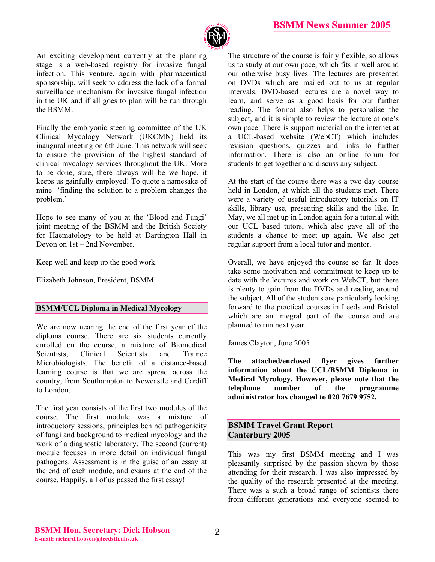

An exciting development currently at the planning stage is a web-based registry for invasive fungal infection. This venture, again with pharmaceutical sponsorship, will seek to address the lack of a formal surveillance mechanism for invasive fungal infection in the UK and if all goes to plan will be run through the BSMM.

Finally the embryonic steering committee of the UK Clinical Mycology Network (UKCMN) held its inaugural meeting on 6th June. This network will seek to ensure the provision of the highest standard of clinical mycology services throughout the UK. More to be done, sure, there always will be we hope, it keeps us gainfully employed! To quote a namesake of mine 'finding the solution to a problem changes the problem.'

Hope to see many of you at the 'Blood and Fungi' joint meeting of the BSMM and the British Society for Haematology to be held at Dartington Hall in Devon on 1st – 2nd November.

Keep well and keep up the good work.

Elizabeth Johnson, President, BSMM

### **BSMM/UCL Diploma in Medical Mycology**

We are now nearing the end of the first year of the diploma course. There are six students currently enrolled on the course, a mixture of Biomedical Scientists, Clinical Scientists and Trainee Microbiologists. The benefit of a distance-based learning course is that we are spread across the country, from Southampton to Newcastle and Cardiff to London.

The first year consists of the first two modules of the course. The first module was a mixture of introductory sessions, principles behind pathogenicity of fungi and background to medical mycology and the work of a diagnostic laboratory. The second (current) module focuses in more detail on individual fungal pathogens. Assessment is in the guise of an essay at the end of each module, and exams at the end of the course. Happily, all of us passed the first essay!

The structure of the course is fairly flexible, so allows us to study at our own pace, which fits in well around our otherwise busy lives. The lectures are presented on DVDs which are mailed out to us at regular intervals. DVD-based lectures are a novel way to learn, and serve as a good basis for our further reading. The format also helps to personalise the subject, and it is simple to review the lecture at one's own pace. There is support material on the internet at a UCL-based website (WebCT) which includes revision questions, quizzes and links to further information. There is also an online forum for students to get together and discuss any subject.

At the start of the course there was a two day course held in London, at which all the students met. There were a variety of useful introductory tutorials on IT skills, library use, presenting skills and the like. In May, we all met up in London again for a tutorial with our UCL based tutors, which also gave all of the students a chance to meet up again. We also get regular support from a local tutor and mentor.

Overall, we have enjoyed the course so far. It does take some motivation and commitment to keep up to date with the lectures and work on WebCT, but there is plenty to gain from the DVDs and reading around the subject. All of the students are particularly looking forward to the practical courses in Leeds and Bristol which are an integral part of the course and are planned to run next year.

James Clayton, June 2005

**The attached/enclosed flyer gives further information about the UCL/BSMM Diploma in Medical Mycology. However, please note that the telephone number of the programme administrator has changed to 020 7679 9752.** 

### **BSMM Travel Grant Report Canterbury 2005**

This was my first BSMM meeting and I was pleasantly surprised by the passion shown by those attending for their research. I was also impressed by the quality of the research presented at the meeting. There was a such a broad range of scientists there from different generations and everyone seemed to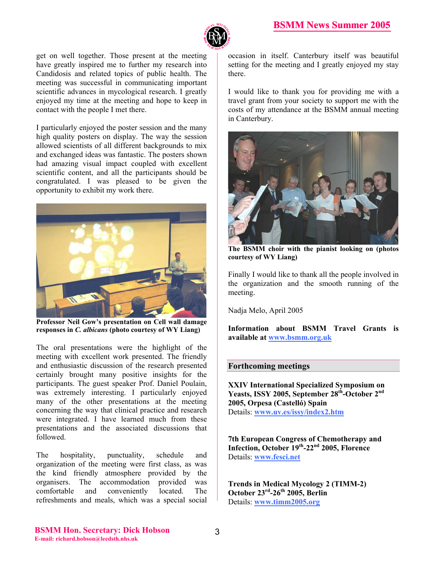

get on well together. Those present at the meeting have greatly inspired me to further my research into Candidosis and related topics of public health. The meeting was successful in communicating important scientific advances in mycological research. I greatly enjoyed my time at the meeting and hope to keep in contact with the people I met there.

I particularly enjoyed the poster session and the many high quality posters on display. The way the session allowed scientists of all different backgrounds to mix and exchanged ideas was fantastic. The posters shown had amazing visual impact coupled with excellent scientific content, and all the participants should be congratulated. I was pleased to be given the opportunity to exhibit my work there.



**Professor Neil Gow's presentation on Cell wall damage responses in** *C. albicans* **(photo courtesy of WY Liang)** 

The oral presentations were the highlight of the meeting with excellent work presented. The friendly and enthusiastic discussion of the research presented certainly brought many positive insights for the participants. The guest speaker Prof. Daniel Poulain, was extremely interesting. I particularly enjoyed many of the other presentations at the meeting concerning the way that clinical practice and research were integrated. I have learned much from these presentations and the associated discussions that followed.

The hospitality, punctuality, schedule and organization of the meeting were first class, as was the kind friendly atmosphere provided by the organisers. The accommodation provided was comfortable and conveniently located. The refreshments and meals, which was a special social

occasion in itself. Canterbury itself was beautiful setting for the meeting and I greatly enjoyed my stay there.

I would like to thank you for providing me with a travel grant from your society to support me with the costs of my attendance at the BSMM annual meeting in Canterbury.



**The BSMM choir with the pianist looking on (photos courtesy of WY Liang)**

Finally I would like to thank all the people involved in the organization and the smooth running of the meeting.

Nadja Melo, April 2005

**Information about BSMM Travel Grants is available at www.bsmm.org.uk**

### **Forthcoming meetings**

**XXIV International Specialized Symposium on Yeasts, ISSY 2005, September 28th-October 2nd 2005, Orpesa (Castelló) Spain**  Details: **www.uv.es/issy/index2.htm**

**7th European Congress of Chemotherapy and Infection, October 19th-22nd 2005, Florence**  Details: **www.fesci.net**

**Trends in Medical Mycology 2 (TIMM-2) October 23rd-26th 2005, Berlin**  Details: **www.timm2005.org**